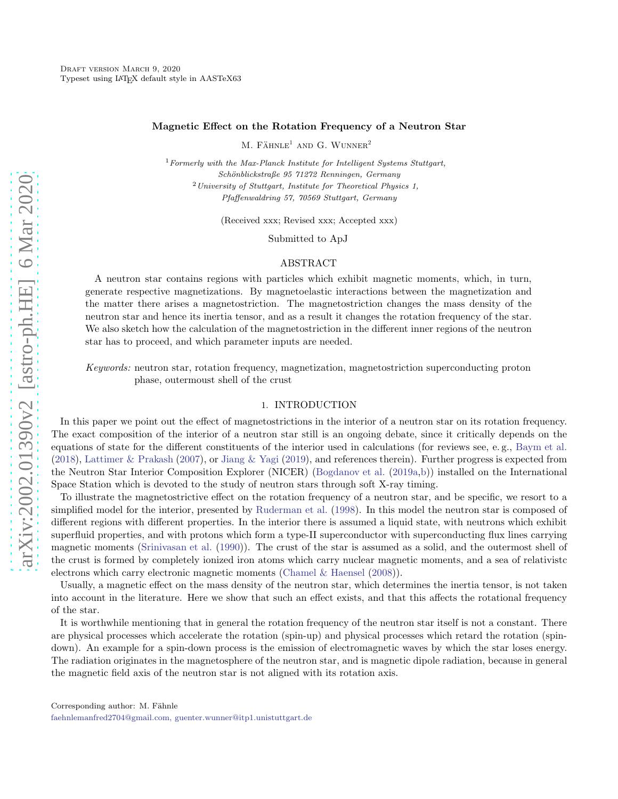### Magnetic Effect on the Rotation Frequency of a Neutron Star

 $M.$  FÄHNLE<sup>1</sup> AND G. WUNNER<sup>2</sup>

 $1$  Formerly with the Max-Planck Institute for Intelligent Systems Stuttgart, Schönblickstraße 95 71272 Renningen, Germany  $2$  University of Stuttgart, Institute for Theoretical Physics 1, Pfaffenwaldring 57, 70569 Stuttgart, Germany

(Received xxx; Revised xxx; Accepted xxx)

Submitted to ApJ

### ABSTRACT

A neutron star contains regions with particles which exhibit magnetic moments, which, in turn, generate respective magnetizations. By magnetoelastic interactions between the magnetization and the matter there arises a magnetostriction. The magnetostriction changes the mass density of the neutron star and hence its inertia tensor, and as a result it changes the rotation frequency of the star. We also sketch how the calculation of the magnetostriction in the different inner regions of the neutron star has to proceed, and which parameter inputs are needed.

Keywords: neutron star, rotation frequency, magnetization, magnetostriction superconducting proton phase, outermoust shell of the crust

# 1. INTRODUCTION

<span id="page-0-0"></span>In this paper we point out the effect of magnetostrictions in the interior of a neutron star on its rotation frequency. The exact composition of the interior of a neutron star still is an ongoing debate, since it critically depends on the equations of state for the different constituents of the interior used in calculations (for reviews see, e. g., [Baym et al.](#page-3-0) [\(2018\)](#page-3-0), [Lattimer & Prakash](#page-4-0) [\(2007](#page-4-0)), or [Jiang & Yagi](#page-4-1) [\(2019\)](#page-4-1), and references therein). Further progress is expected from the Neutron Star Interior Composition Explorer (NICER) [\(Bogdanov et al.](#page-3-1) [\(2019a](#page-3-1)[,b](#page-4-2))) installed on the International Space Station which is devoted to the study of neutron stars through soft X-ray timing.

To illustrate the magnetostrictive effect on the rotation frequency of a neutron star, and be specific, we resort to a simplified model for the interior, presented by [Ruderman et al.](#page-4-3) [\(1998\)](#page-4-3). In this model the neutron star is composed of different regions with different properties. In the interior there is assumed a liquid state, with neutrons which exhibit superfluid properties, and with protons which form a type-II superconductor with superconducting flux lines carrying magnetic moments [\(Srinivasan et al.](#page-4-4) [\(1990\)](#page-4-4)). The crust of the star is assumed as a solid, and the outermost shell of the crust is formed by completely ionized iron atoms which carry nuclear magnetic moments, and a sea of relativistc electrons which carry electronic magnetic moments [\(Chamel & Haensel](#page-4-5) [\(2008\)](#page-4-5)).

Usually, a magnetic effect on the mass density of the neutron star, which determines the inertia tensor, is not taken into account in the literature. Here we show that such an effect exists, and that this affects the rotational frequency of the star.

It is worthwhile mentioning that in general the rotation frequency of the neutron star itself is not a constant. There are physical processes which accelerate the rotation (spin-up) and physical processes which retard the rotation (spindown). An example for a spin-down process is the emission of electromagnetic waves by which the star loses energy. The radiation originates in the magnetosphere of the neutron star, and is magnetic dipole radiation, because in general the magnetic field axis of the neutron star is not aligned with its rotation axis.

[faehnlemanfred2704@gmail.com, guenter.wunner@itp1.unistuttgart.de](mailto: faehnlemanfred2704@gmail.com, guenter.wunner@itp1.unistuttgart.de)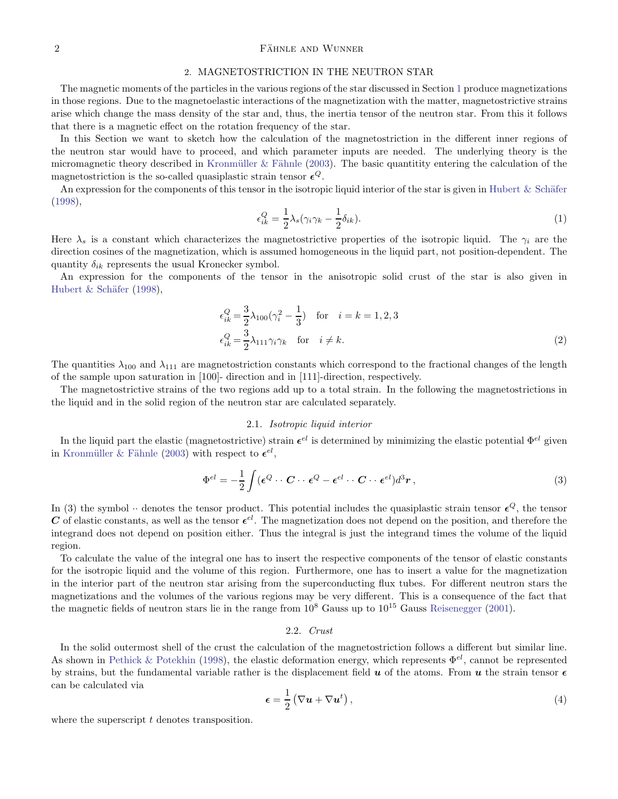# $\Gamma$ ahnle and Wunner  $\Gamma$

#### 2. MAGNETOSTRICTION IN THE NEUTRON STAR

The magnetic moments of the particles in the various regions of the star discussed in Section [1](#page-0-0) produce magnetizations in those regions. Due to the magnetoelastic interactions of the magnetization with the matter, magnetostrictive strains arise which change the mass density of the star and, thus, the inertia tensor of the neutron star. From this it follows that there is a magnetic effect on the rotation frequency of the star.

In this Section we want to sketch how the calculation of the magnetostriction in the different inner regions of the neutron star would have to proceed, and which parameter inputs are needed. The underlying theory is the micromagnetic theory described in Kronmüller & Fähnle [\(2003\)](#page-4-6). The basic quantitity entering the calculation of the magnetostriction is the so-called quasiplastic strain tensor  $\epsilon^{Q}$ .

An expression for the components of this tensor in the isotropic liquid interior of the star is given in Hubert  $&$  Schäfer [\(1998\)](#page-4-7),

$$
\epsilon_{ik}^Q = \frac{1}{2} \lambda_s (\gamma_i \gamma_k - \frac{1}{2} \delta_{ik}). \tag{1}
$$

Here  $\lambda_s$  is a constant which characterizes the magnetostrictive properties of the isotropic liquid. The  $\gamma_i$  are the direction cosines of the magnetization, which is assumed homogeneous in the liquid part, not position-dependent. The quantity  $\delta_{ik}$  represents the usual Kronecker symbol.

An expression for the components of the tensor in the anisotropic solid crust of the star is also given in Hubert  $&$  Schäfer [\(1998\)](#page-4-7),

$$
\epsilon_{ik}^{Q} = \frac{3}{2}\lambda_{100}(\gamma_i^2 - \frac{1}{3}) \quad \text{for} \quad i = k = 1, 2, 3
$$
\n
$$
\epsilon_{ik}^{Q} = \frac{3}{2}\lambda_{111}\gamma_i\gamma_k \quad \text{for} \quad i \neq k. \tag{2}
$$

The quantities  $\lambda_{100}$  and  $\lambda_{111}$  are magnetostriction constants which correspond to the fractional changes of the length of the sample upon saturation in [100]- direction and in [111]-direction, respectively.

The magnetostrictive strains of the two regions add up to a total strain. In the following the magnetostrictions in the liquid and in the solid region of the neutron star are calculated separately.

### 2.1. Isotropic liquid interior

In the liquid part the elastic (magnetostrictive) strain  $\epsilon^{el}$  is determined by minimizing the elastic potential  $\Phi^{el}$  given in Kronmüller & Fähnle [\(2003\)](#page-4-6) with respect to  $\epsilon^{el}$ ,

$$
\Phi^{el} = -\frac{1}{2} \int (\epsilon^Q \cdots C \cdots \epsilon^Q - \epsilon^{el} \cdots C \cdots \epsilon^{el}) d^3 r , \qquad (3)
$$

In (3) the symbol  $\cdot \cdot$  denotes the tensor product. This potential includes the quasiplastic strain tensor  $\epsilon^Q$ , the tensor C of elastic constants, as well as the tensor  $\epsilon^{el}$ . The magnetization does not depend on the position, and therefore the integrand does not depend on position either. Thus the integral is just the integrand times the volume of the liquid region.

To calculate the value of the integral one has to insert the respective components of the tensor of elastic constants for the isotropic liquid and the volume of this region. Furthermore, one has to insert a value for the magnetization in the interior part of the neutron star arising from the superconducting flux tubes. For different neutron stars the magnetizations and the volumes of the various regions may be very different. This is a consequence of the fact that the magnetic fields of neutron stars lie in the range from  $10^8$  Gauss up to  $10^{15}$  Gauss [Reisenegger](#page-4-8) [\(2001\)](#page-4-8).

# 2.2. Crust

In the solid outermost shell of the crust the calculation of the magnetostriction follows a different but similar line. As shown in [Pethick & Potekhin](#page-4-9) [\(1998](#page-4-9)), the elastic deformation energy, which represents  $\Phi^{el}$ , cannot be represented by strains, but the fundamental variable rather is the displacement field  $u$  of the atoms. From  $u$  the strain tensor  $\epsilon$ can be calculated via

$$
\epsilon = \frac{1}{2} \left( \nabla \boldsymbol{u} + \nabla \boldsymbol{u}^t \right), \tag{4}
$$

where the superscript  $t$  denotes transposition.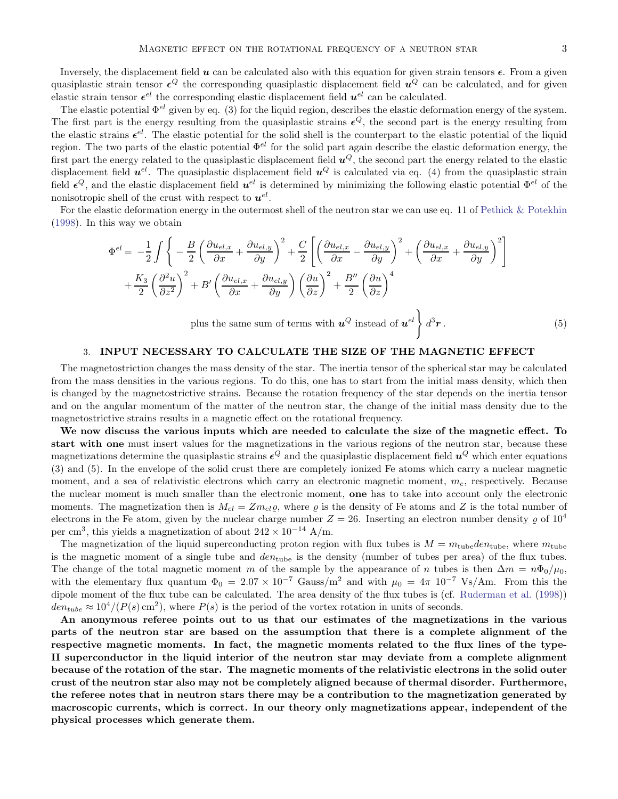Inversely, the displacement field  $u$  can be calculated also with this equation for given strain tensors  $\epsilon$ . From a given quasiplastic strain tensor  $\epsilon^Q$  the corresponding quasiplastic displacement field  $u^Q$  can be calculated, and for given elastic strain tensor  $\epsilon^{el}$  the corresponding elastic displacement field  $u^{el}$  can be calculated.

The elastic potential  $\Phi^{el}$  given by eq. (3) for the liquid region, describes the elastic deformation energy of the system. The first part is the energy resulting from the quasiplastic strains  $\epsilon^Q$ , the second part is the energy resulting from the elastic strains  $\epsilon^{el}$ . The elastic potential for the solid shell is the counterpart to the elastic potential of the liquid region. The two parts of the elastic potential  $\Phi^{el}$  for the solid part again describe the elastic deformation energy, the first part the energy related to the quasiplastic displacement field  $u^Q$ , the second part the energy related to the elastic displacement field  $u^{el}$ . The quasiplastic displacement field  $u^{Q}$  is calculated via eq. (4) from the quasiplastic strain field  $\epsilon^Q$ , and the elastic displacement field  $u^{el}$  is determined by minimizing the following elastic potential  $\Phi^{el}$  of the nonisotropic shell of the crust with respect to  $u^{el}$ .

For the elastic deformation energy in the outermost shell of the neutron star we can use eq. 11 of [Pethick & Potekhin](#page-4-9) [\(1998\)](#page-4-9). In this way we obtain

$$
\Phi^{el} = -\frac{1}{2} \int \left\{ -\frac{B}{2} \left( \frac{\partial u_{el,x}}{\partial x} + \frac{\partial u_{el,y}}{\partial y} \right)^2 + \frac{C}{2} \left[ \left( \frac{\partial u_{el,x}}{\partial x} - \frac{\partial u_{el,y}}{\partial y} \right)^2 + \left( \frac{\partial u_{el,x}}{\partial x} + \frac{\partial u_{el,y}}{\partial y} \right)^2 \right] + \frac{K_3}{2} \left( \frac{\partial^2 u}{\partial z^2} \right)^2 + B' \left( \frac{\partial u_{el,x}}{\partial x} + \frac{\partial u_{el,y}}{\partial y} \right) \left( \frac{\partial u}{\partial z} \right)^2 + \frac{B''}{2} \left( \frac{\partial u}{\partial z} \right)^4
$$

plus the same sum of terms with  $u^Q$  instead of  $u^{el}$   $\Big\} d^3$  $\boldsymbol{r}$  . (5)

### 3. INPUT NECESSARY TO CALCULATE THE SIZE OF THE MAGNETIC EFFECT

The magnetostriction changes the mass density of the star. The inertia tensor of the spherical star may be calculated from the mass densities in the various regions. To do this, one has to start from the initial mass density, which then is changed by the magnetostrictive strains. Because the rotation frequency of the star depends on the inertia tensor and on the angular momentum of the matter of the neutron star, the change of the initial mass density due to the magnetostrictive strains results in a magnetic effect on the rotational frequency.

We now discuss the various inputs which are needed to calculate the size of the magnetic effect. To start with one must insert values for the magnetizations in the various regions of the neutron star, because these magnetizations determine the quasiplastic strains  $\epsilon^Q$  and the quasiplastic displacement field  $u^Q$  which enter equations (3) and (5). In the envelope of the solid crust there are completely ionized Fe atoms which carry a nuclear magnetic moment, and a sea of relativistic electrons which carry an electronic magnetic moment,  $m_e$ , respectively. Because the nuclear moment is much smaller than the electronic moment, one has to take into account only the electronic moments. The magnetization then is  $M_{el} = Z m_{el} \varrho$ , where  $\varrho$  is the density of Fe atoms and Z is the total number of electrons in the Fe atom, given by the nuclear charge number  $Z = 26$ . Inserting an electron number density  $\rho$  of  $10^4$ per cm<sup>3</sup>, this yields a magnetization of about  $242 \times 10^{-14}$  A/m.

The magnetization of the liquid superconducting proton region with flux tubes is  $M = m_{\text{tube}}\cdot d_{\text{cube}}$ , where  $m_{\text{tube}}$ is the magnetic moment of a single tube and  $den_{\text{tube}}$  is the density (number of tubes per area) of the flux tubes. The change of the total magnetic moment m of the sample by the appearance of n tubes is then  $\Delta m = n\Phi_0/\mu_0$ , with the elementary flux quantum  $\Phi_0 = 2.07 \times 10^{-7}$  Gauss/m<sup>2</sup> and with  $\mu_0 = 4\pi 10^{-7}$  Vs/Am. From this the dipole moment of the flux tube can be calculated. The area density of the flux tubes is (cf. [Ruderman et al.](#page-4-3) [\(1998](#page-4-3)))  $den_{tube} \approx 10^4/(P(s) \text{ cm}^2)$ , where  $P(s)$  is the period of the vortex rotation in units of seconds.

An anonymous referee points out to us that our estimates of the magnetizations in the various parts of the neutron star are based on the assumption that there is a complete alignment of the respective magnetic moments. In fact, the magnetic moments related to the flux lines of the type-II superconductor in the liquid interior of the neutron star may deviate from a complete alignment because of the rotation of the star. The magnetic moments of the relativistic electrons in the solid outer crust of the neutron star also may not be completely aligned because of thermal disorder. Furthermore, the referee notes that in neutron stars there may be a contribution to the magnetization generated by macroscopic currents, which is correct. In our theory only magnetizations appear, independent of the physical processes which generate them.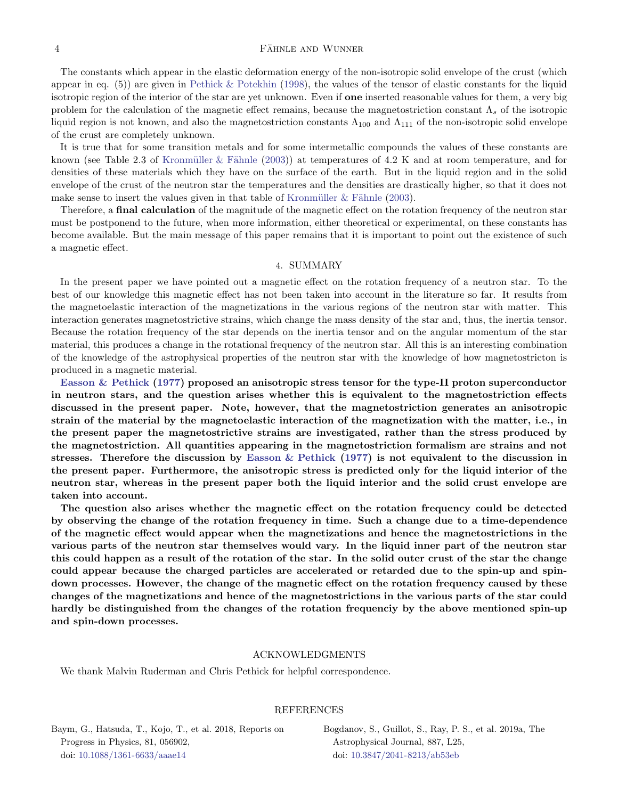### 4 FÄHNLE AND WUNNER

The constants which appear in the elastic deformation energy of the non-isotropic solid envelope of the crust (which appear in eq.  $(5)$  are given in [Pethick & Potekhin](#page-4-9) [\(1998\)](#page-4-9), the values of the tensor of elastic constants for the liquid isotropic region of the interior of the star are yet unknown. Even if **one** inserted reasonable values for them, a very big problem for the calculation of the magnetic effect remains, because the magnetostriction constant  $\Lambda_s$  of the isotropic liquid region is not known, and also the magnetostriction constants  $\Lambda_{100}$  and  $\Lambda_{111}$  of the non-isotropic solid envelope of the crust are completely unknown.

It is true that for some transition metals and for some intermetallic compounds the values of these constants are known (see Table 2.3 of Kronmüller & Fähnle [\(2003\)](#page-4-6)) at temperatures of 4.2 K and at room temperature, and for densities of these materials which they have on the surface of the earth. But in the liquid region and in the solid envelope of the crust of the neutron star the temperatures and the densities are drastically higher, so that it does not make sense to insert the values given in that table of Kronmüller  $&$  Fähnle [\(2003\)](#page-4-6).

Therefore, a **final calculation** of the magnitude of the magnetic effect on the rotation frequency of the neutron star must be postponend to the future, when more information, either theoretical or experimental, on these constants has become available. But the main message of this paper remains that it is important to point out the existence of such a magnetic effect.

#### 4. SUMMARY

In the present paper we have pointed out a magnetic effect on the rotation frequency of a neutron star. To the best of our knowledge this magnetic effect has not been taken into account in the literature so far. It results from the magnetoelastic interaction of the magnetizations in the various regions of the neutron star with matter. This interaction generates magnetostrictive strains, which change the mass density of the star and, thus, the inertia tensor. Because the rotation frequency of the star depends on the inertia tensor and on the angular momentum of the star material, this produces a change in the rotational frequency of the neutron star. All this is an interesting combination of the knowledge of the astrophysical properties of the neutron star with the knowledge of how magnetostricton is produced in a magnetic material.

[Easson & Pethick](#page-4-10) [\(1977\)](#page-4-10) proposed an anisotropic stress tensor for the type-II proton superconductor in neutron stars, and the question arises whether this is equivalent to the magnetostriction effects discussed in the present paper. Note, however, that the magnetostriction generates an anisotropic strain of the material by the magnetoelastic interaction of the magnetization with the matter, i.e., in the present paper the magnetostrictive strains are investigated, rather than the stress produced by the magnetostriction. All quantities appearing in the magnetostriction formalism are strains and not stresses. Therefore the discussion by [Easson & Pethick](#page-4-10) [\(1977\)](#page-4-10) is not equivalent to the discussion in the present paper. Furthermore, the anisotropic stress is predicted only for the liquid interior of the neutron star, whereas in the present paper both the liquid interior and the solid crust envelope are taken into account.

The question also arises whether the magnetic effect on the rotation frequency could be detected by observing the change of the rotation frequency in time. Such a change due to a time-dependence of the magnetic effect would appear when the magnetizations and hence the magnetostrictions in the various parts of the neutron star themselves would vary. In the liquid inner part of the neutron star this could happen as a result of the rotation of the star. In the solid outer crust of the star the change could appear because the charged particles are accelerated or retarded due to the spin-up and spindown processes. However, the change of the magnetic effect on the rotation frequency caused by these changes of the magnetizations and hence of the magnetostrictions in the various parts of the star could hardly be distinguished from the changes of the rotation frequenciy by the above mentioned spin-up and spin-down processes.

### ACKNOWLEDGMENTS

We thank Malvin Ruderman and Chris Pethick for helpful correspondence.

### REFERENCES

<span id="page-3-0"></span>Baym, G., Hatsuda, T., Kojo, T., et al. 2018, Reports on Progress in Physics, 81, 056902, doi: [10.1088/1361-6633/aaae14](http://doi.org/10.1088/1361-6633/aaae14)

<span id="page-3-1"></span>Bogdanov, S., Guillot, S., Ray, P. S., et al. 2019a, The Astrophysical Journal, 887, L25, doi: [10.3847/2041-8213/ab53eb](http://doi.org/10.3847/2041-8213/ab53eb)